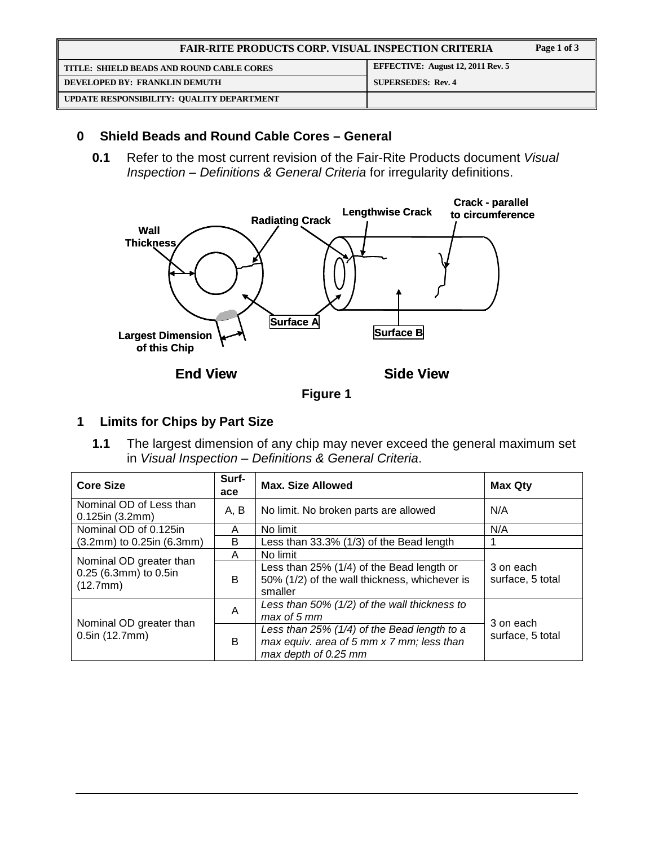| <b>FAIR-RITE PRODUCTS CORP. VISUAL INSPECTION CRITERIA</b> |                                          | Page 1 of 3 |
|------------------------------------------------------------|------------------------------------------|-------------|
| TITLE: SHIELD BEADS AND ROUND CABLE CORES                  | <b>EFFECTIVE: August 12, 2011 Rev. 5</b> |             |
| DEVELOPED BY: FRANKLIN DEMUTH                              | <b>SUPERSEDES: Rev. 4</b>                |             |
| UPDATE RESPONSIBILITY: QUALITY DEPARTMENT                  |                                          |             |

## **0 Shield Beads and Round Cable Cores – General**

**0.1** Refer to the most current revision of the Fair-Rite Products document Visual Inspection – Definitions & General Criteria for irregularity definitions.



**Figure 1** 

# **1 Limits for Chips by Part Size**

**1.1** The largest dimension of any chip may never exceed the general maximum set in Visual Inspection – Definitions & General Criteria.

| <b>Core Size</b>                                             | Surf-<br>ace | <b>Max. Size Allowed</b>                                                                                         | <b>Max Qty</b>                |
|--------------------------------------------------------------|--------------|------------------------------------------------------------------------------------------------------------------|-------------------------------|
| Nominal OD of Less than<br>$0.125$ in (3.2mm)                | A, B         | No limit. No broken parts are allowed                                                                            | N/A                           |
| Nominal OD of 0.125in                                        | A            | No limit                                                                                                         | N/A                           |
| (3.2mm) to 0.25in (6.3mm)                                    | B            | Less than 33.3% (1/3) of the Bead length                                                                         |                               |
|                                                              | A            | No limit                                                                                                         |                               |
| Nominal OD greater than<br>0.25 (6.3mm) to 0.5in<br>(12.7mm) | B            | Less than 25% (1/4) of the Bead length or<br>50% (1/2) of the wall thickness, whichever is<br>smaller            | 3 on each<br>surface, 5 total |
|                                                              | A            | Less than 50% (1/2) of the wall thickness to<br>max of 5 mm                                                      | 3 on each                     |
| Nominal OD greater than<br>$0.5$ in (12.7mm)                 | B            | Less than 25% (1/4) of the Bead length to a<br>max equiv. area of 5 mm x 7 mm; less than<br>max depth of 0.25 mm | surface, 5 total              |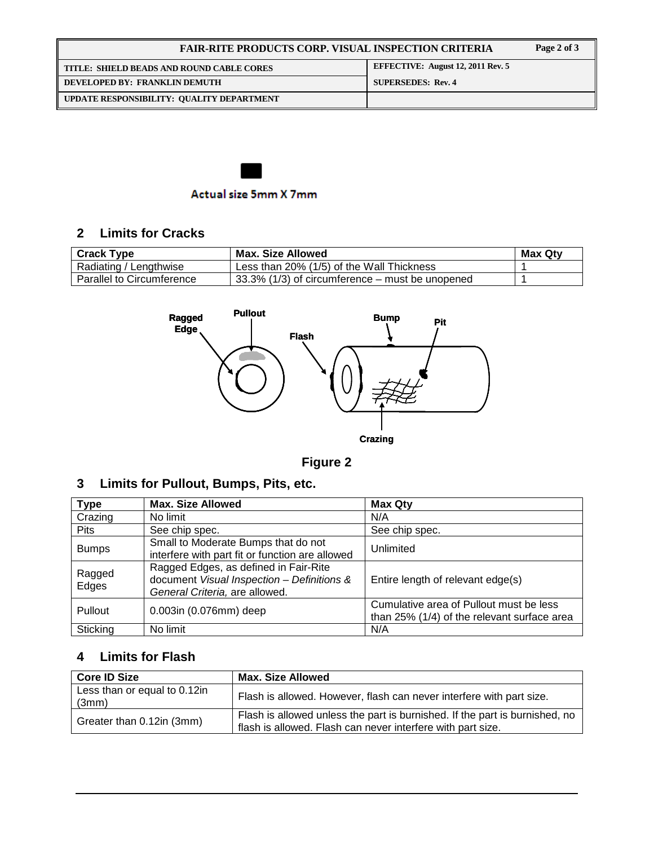## **FAIR-RITE PRODUCTS CORP. VISUAL INSPECTION CRITERIA Page 2 of 3**  TITLE: SHIELD BEADS AND ROUND CABLE CORES **EFFECTIVE:** August 12, 2011 Rev. 5 **DEVELOPED BY: FRANKLIN DEMUTH SUPERSEDES: Rev. 4 UPDATE RESPONSIBILITY: QUALITY DEPARTMENT**



## **2 Limits for Cracks**

| <b>Crack Type</b>         | Max. Size Allowed                                   | <b>Max Qty</b> |
|---------------------------|-----------------------------------------------------|----------------|
| Radiating / Lengthwise    | Less than 20% (1/5) of the Wall Thickness           |                |
| Parallel to Circumference | $133.3\%$ (1/3) of circumference – must be unopened |                |



**Figure 2**

## **3 Limits for Pullout, Bumps, Pits, etc.**

| <b>Type</b>     | <b>Max. Size Allowed</b>                                                                                              | <b>Max Qty</b>                                                                         |
|-----------------|-----------------------------------------------------------------------------------------------------------------------|----------------------------------------------------------------------------------------|
| Crazing         | No limit                                                                                                              | N/A                                                                                    |
| <b>Pits</b>     | See chip spec.                                                                                                        | See chip spec.                                                                         |
| <b>Bumps</b>    | Small to Moderate Bumps that do not<br>interfere with part fit or function are allowed                                | Unlimited                                                                              |
| Ragged<br>Edges | Ragged Edges, as defined in Fair-Rite<br>document Visual Inspection - Definitions &<br>General Criteria, are allowed. | Entire length of relevant edge(s)                                                      |
| Pullout         | 0.003in (0.076mm) deep                                                                                                | Cumulative area of Pullout must be less<br>than 25% (1/4) of the relevant surface area |
| Sticking        | No limit                                                                                                              | N/A                                                                                    |

# **4 Limits for Flash**

| <b>Core ID Size</b>                   | <b>Max. Size Allowed</b>                                                                                                                   |
|---------------------------------------|--------------------------------------------------------------------------------------------------------------------------------------------|
| Less than or equal to 0.12in<br>(3mm) | Flash is allowed. However, flash can never interfere with part size.                                                                       |
| Greater than 0.12in (3mm)             | Flash is allowed unless the part is burnished. If the part is burnished, no<br>flash is allowed. Flash can never interfere with part size. |